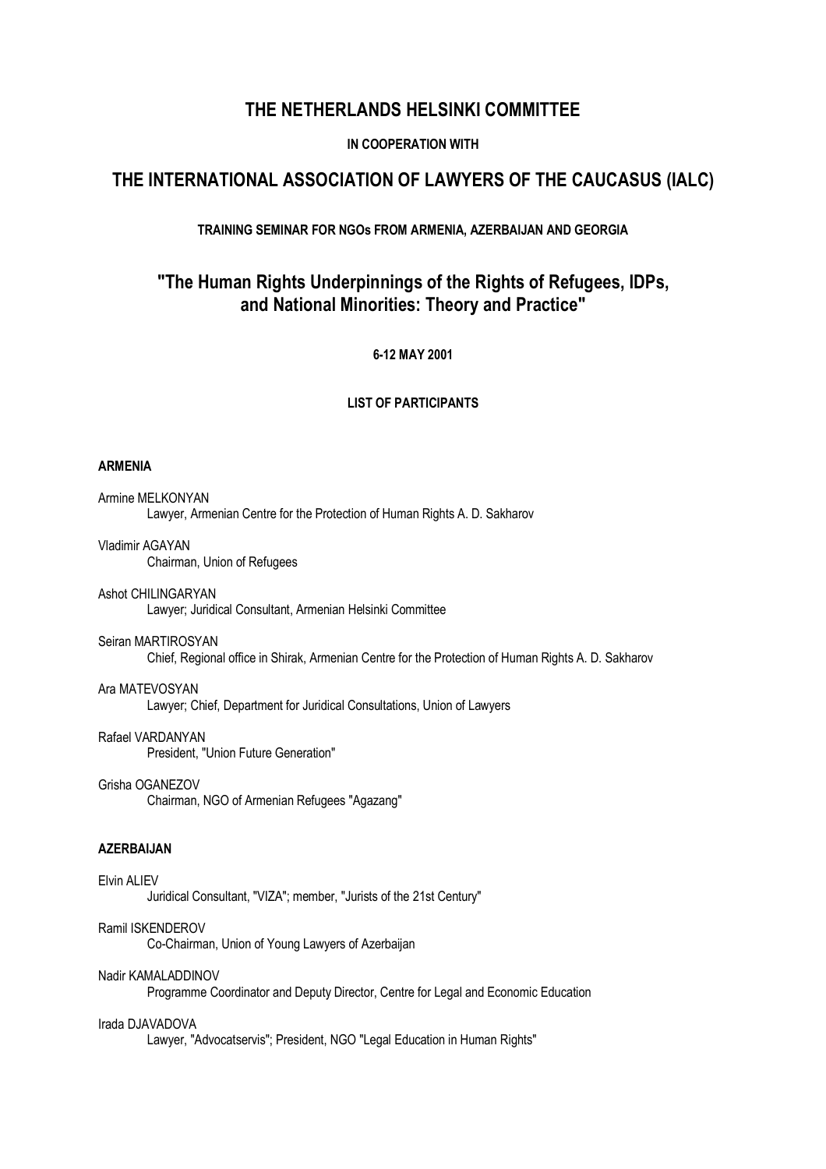# **THE NETHERLANDS HELSINKI COMMITTEE**

# **IN COOPERATION WITH**

# **THE INTERNATIONAL ASSOCIATION OF LAWYERS OF THE CAUCASUS (IALC)**

# **TRAINING SEMINAR FOR NGOs FROM ARMENIA, AZERBAIJAN AND GEORGIA**

# **"The Human Rights Underpinnings of the Rights of Refugees, IDPs, and National Minorities: Theory and Practice"**

## **6-12 MAY 2001**

## **LIST OF PARTICIPANTS**

## **ARMENIA**

Armine MELKONYAN Lawyer, Armenian Centre for the Protection of Human Rights A. D. Sakharov

### Vladimir AGAYAN

Chairman, Union of Refugees

#### Ashot CHILINGARYAN

Lawyer; Juridical Consultant, Armenian Helsinki Committee

#### Seiran MARTIROSYAN

Chief, Regional office in Shirak, Armenian Centre for the Protection of Human Rights A. D. Sakharov

#### Ara MATEVOSYAN

Lawyer; Chief, Department for Juridical Consultations, Union of Lawyers

## Rafael VARDANYAN

President, "Union Future Generation"

## Grisha OGANEZOV

Chairman, NGO of Armenian Refugees "Agazang"

# **AZERBAIJAN**

### Elvin ALIEV

Juridical Consultant, "VIZA"; member, "Jurists of the 21st Century"

#### Ramil ISKENDEROV

Co-Chairman, Union of Young Lawyers of Azerbaijan

#### Nadir KAMALADDINOV

Programme Coordinator and Deputy Director, Centre for Legal and Economic Education

#### Irada DJAVADOVA

Lawyer, "Advocatservis"; President, NGO "Legal Education in Human Rights"